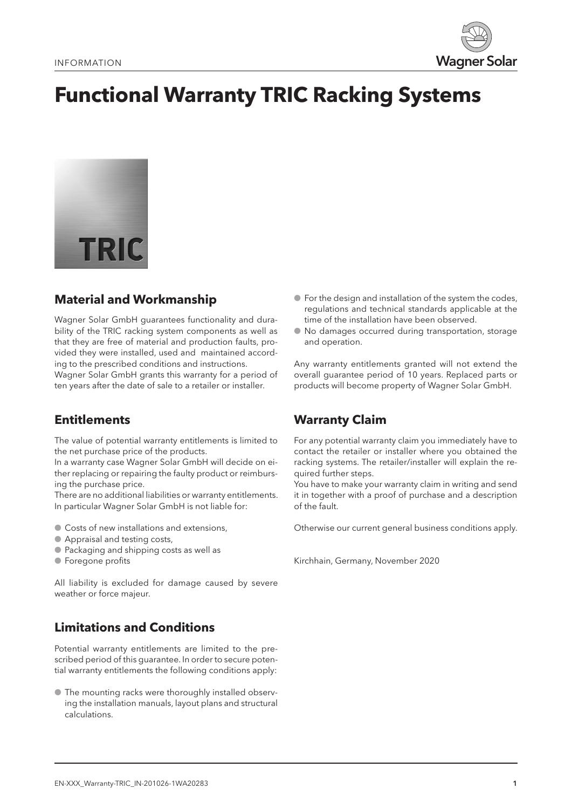

# **Functional Warranty TRIC Racking Systems**



## **Material and Workmanship**

Wagner Solar GmbH guarantees functionality and durability of the TRIC racking system components as well as that they are free of material and production faults, provided they were installed, used and maintained according to the prescribed conditions and instructions. Wagner Solar GmbH grants this warranty for a period of ten years after the date of sale to a retailer or installer.

### **Entitlements**

The value of potential warranty entitlements is limited to the net purchase price of the products.

In a warranty case Wagner Solar GmbH will decide on either replacing or repairing the faulty product or reimbursing the purchase price.

There are no additional liabilities or warranty entitlements. In particular Wagner Solar GmbH is not liable for:

- Costs of new installations and extensions,
- Appraisal and testing costs,
- Packaging and shipping costs as well as
- Foregone profits

All liability is excluded for damage caused by severe weather or force majeur.

### **Limitations and Conditions**

Potential warranty entitlements are limited to the prescribed period of this guarantee. In order to secure potential warranty entitlements the following conditions apply:

● The mounting racks were thoroughly installed observing the installation manuals, layout plans and structural calculations.

- For the design and installation of the system the codes, regulations and technical standards applicable at the time of the installation have been observed.
- No damages occurred during transportation, storage and operation.

Any warranty entitlements granted will not extend the overall guarantee period of 10 years. Replaced parts or products will become property of Wagner Solar GmbH.

### **Warranty Claim**

For any potential warranty claim you immediately have to contact the retailer or installer where you obtained the racking systems. The retailer/installer will explain the required further steps.

You have to make your warranty claim in writing and send it in together with a proof of purchase and a description of the fault.

Otherwise our current general business conditions apply.

Kirchhain, Germany, November 2020